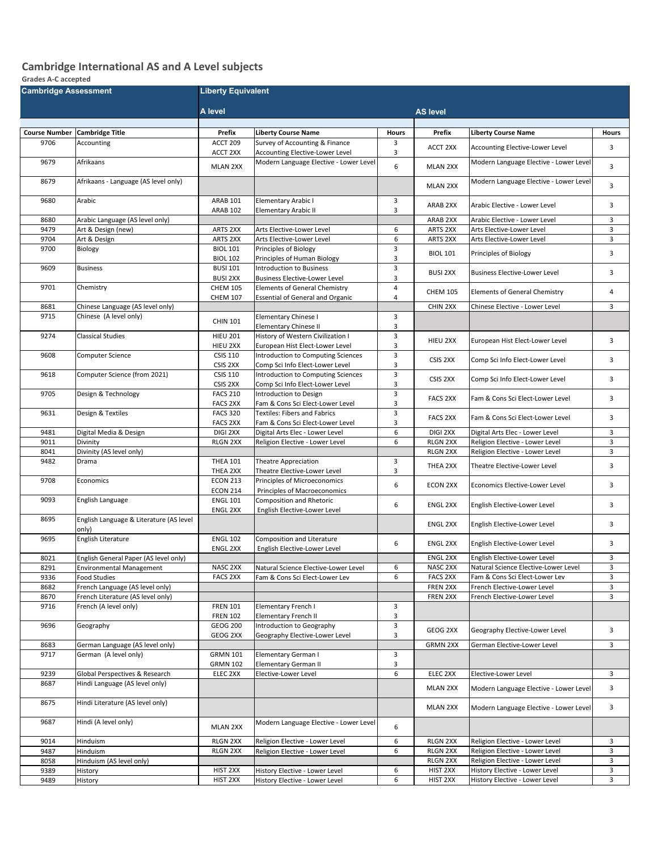## **Cambridge International AS and A Level subjects**

## **Grades A-C accepted**

| <b>Cambridge Assessment</b> |                                                                  | <b>Liberty Equivalent</b>          |                                                                          |                 |                                    |                                                                    |              |  |  |
|-----------------------------|------------------------------------------------------------------|------------------------------------|--------------------------------------------------------------------------|-----------------|------------------------------------|--------------------------------------------------------------------|--------------|--|--|
|                             |                                                                  | A level                            |                                                                          | <b>AS level</b> |                                    |                                                                    |              |  |  |
|                             |                                                                  |                                    |                                                                          |                 |                                    |                                                                    |              |  |  |
| <b>Course Number</b>        | <b>Cambridge Title</b>                                           | Prefix                             | <b>Liberty Course Name</b>                                               | Hours           | Prefix                             | <b>Liberty Course Name</b>                                         | <b>Hours</b> |  |  |
| 9706                        | Accounting                                                       | ACCT 209<br>ACCT 2XX               | Survey of Accounting & Finance<br>Accounting Elective-Lower Level        | 3<br>3          | ACCT 2XX                           | Accounting Elective-Lower Level                                    | 3            |  |  |
| 9679                        | Afrikaans                                                        | <b>MLAN 2XX</b>                    | Modern Language Elective - Lower Level                                   | 6               | <b>MLAN 2XX</b>                    | Modern Language Elective - Lower Level                             | 3            |  |  |
| 8679                        | Afrikaans - Language (AS level only)                             |                                    |                                                                          |                 | <b>MLAN 2XX</b>                    | Modern Language Elective - Lower Level                             | 3            |  |  |
| 9680                        | Arabic                                                           | <b>ARAB 101</b><br><b>ARAB 102</b> | Elementary Arabic I<br><b>Elementary Arabic II</b>                       | 3<br>3          | ARAB 2XX                           | Arabic Elective - Lower Level                                      | 3            |  |  |
| 8680                        | Arabic Language (AS level only)                                  |                                    |                                                                          |                 | ARAB <sub>2XX</sub>                | Arabic Elective - Lower Level                                      | 3            |  |  |
| 9479                        | Art & Design (new)                                               | ARTS 2XX                           | Arts Elective-Lower Level                                                | 6               | ARTS 2XX                           | Arts Elective-Lower Level                                          | 3            |  |  |
| 9704                        | Art & Design                                                     | ARTS 2XX                           | Arts Elective-Lower Level                                                | 6               | ARTS 2XX                           | Arts Elective-Lower Level                                          | 3            |  |  |
| 9700                        | Biology                                                          | <b>BIOL 101</b><br><b>BIOL 102</b> | Principles of Biology<br>Principles of Human Biology                     | 3<br>3          | <b>BIOL 101</b>                    | Principles of Biology                                              | 3            |  |  |
| 9609                        | <b>Business</b>                                                  | <b>BUSI 101</b><br><b>BUSI 2XX</b> | <b>Introduction to Business</b><br>Business Elective-Lower Level         | 3<br>3          | <b>BUSI 2XX</b>                    | <b>Business Elective-Lower Level</b>                               | 3            |  |  |
| 9701                        | Chemistry                                                        | <b>CHEM 105</b><br><b>CHEM 107</b> | Elements of General Chemistry<br><b>Essential of General and Organic</b> | $\sqrt{4}$<br>4 | <b>CHEM 105</b>                    | Elements of General Chemistry                                      | 4            |  |  |
| 8681                        | Chinese Language (AS level only)                                 |                                    |                                                                          |                 | CHIN 2XX                           | Chinese Elective - Lower Level                                     | 3            |  |  |
| 9715                        | Chinese (A level only)                                           | <b>CHIN 101</b>                    | Elementary Chinese I                                                     | 3               |                                    |                                                                    |              |  |  |
| 9274                        | <b>Classical Studies</b>                                         | <b>HIEU 201</b>                    | Elementary Chinese II<br>History of Western Civilization I               | 3<br>3          |                                    |                                                                    |              |  |  |
|                             |                                                                  | HIEU 2XX                           | European Hist Elect-Lower Level                                          | 3               | HIEU 2XX                           | European Hist Elect-Lower Level                                    | 3            |  |  |
| 9608                        | Computer Science                                                 | <b>CSIS 110</b><br>CSIS 2XX        | Introduction to Computing Sciences<br>Comp Sci Info Elect-Lower Level    | 3<br>3          | CSIS 2XX                           | Comp Sci Info Elect-Lower Level                                    | 3            |  |  |
| 9618                        | Computer Science (from 2021)                                     | <b>CSIS 110</b><br>CSIS 2XX        | Introduction to Computing Sciences<br>Comp Sci Info Elect-Lower Level    | 3<br>3          | CSIS 2XX                           | Comp Sci Info Elect-Lower Level                                    | 3            |  |  |
| 9705                        | Design & Technology                                              | <b>FACS 210</b><br>FACS 2XX        | Introduction to Design<br>Fam & Cons Sci Elect-Lower Level               | 3<br>3          | <b>FACS 2XX</b>                    | Fam & Cons Sci Elect-Lower Level                                   | 3            |  |  |
| 9631                        | Design & Textiles                                                | <b>FACS 320</b><br>FACS 2XX        | <b>Textiles: Fibers and Fabrics</b><br>Fam & Cons Sci Elect-Lower Level  | 3<br>3          | <b>FACS 2XX</b>                    | Fam & Cons Sci Elect-Lower Level                                   | 3            |  |  |
| 9481                        | Digital Media & Design                                           | DIGI 2XX                           | Digital Arts Elec - Lower Level                                          | 6               | DIGI 2XX                           | Digital Arts Elec - Lower Level                                    | 3            |  |  |
| 9011                        | Divinity                                                         | <b>RLGN 2XX</b>                    | Religion Elective - Lower Level                                          | 6               | <b>RLGN 2XX</b>                    | Religion Elective - Lower Level                                    | 3            |  |  |
| 8041                        | Divinity (AS level only)                                         |                                    |                                                                          |                 | <b>RLGN 2XX</b>                    | Religion Elective - Lower Level                                    | 3            |  |  |
| 9482                        | Drama                                                            | <b>THEA 101</b><br>THEA 2XX        | <b>Theatre Appreciation</b><br>Theatre Elective-Lower Level              | 3<br>3          | THEA 2XX                           | Theatre Elective-Lower Level                                       | 3            |  |  |
| 9708                        | Economics                                                        | <b>ECON 213</b><br><b>ECON 214</b> | Principles of Microeconomics<br>Principles of Macroeconomics             | 6               | ECON 2XX                           | Economics Elective-Lower Level                                     | 3            |  |  |
| 9093                        | English Language                                                 | <b>ENGL 101</b><br><b>ENGL 2XX</b> | Composition and Rhetoric<br>English Elective-Lower Level                 | 6               | ENGL 2XX                           | English Elective-Lower Level                                       | 3            |  |  |
| 8695                        | English Language & Literature (AS level<br>only)                 |                                    |                                                                          |                 | ENGL 2XX                           | English Elective-Lower Level                                       | 3            |  |  |
| 9695                        | English Literature                                               | <b>ENGL 102</b><br><b>ENGL 2XX</b> | Composition and Literature<br>English Elective-Lower Level               | 6               | ENGL 2XX                           | English Elective-Lower Level                                       | 3            |  |  |
| 8021                        | English General Paper (AS level only)                            |                                    |                                                                          |                 | <b>ENGL 2XX</b>                    | English Elective-Lower Level                                       | 3            |  |  |
| 8291                        | Environmental Management                                         | NASC 2XX                           | Natural Science Elective-Lower Level                                     | 6               | NASC 2XX                           | Natural Science Elective-Lower Level                               | 3            |  |  |
| 9336                        | Food Studies                                                     | <b>FACS 2XX</b>                    | Fam & Cons Sci Elect-Lower Lev                                           | 6               | <b>FACS 2XX</b>                    | Fam & Cons Sci Elect-Lower Lev                                     | 3            |  |  |
| 8682                        | French Language (AS level only)                                  |                                    |                                                                          |                 | FREN 2XX                           | French Elective-Lower Level                                        | 3            |  |  |
| 8670                        | French Literature (AS level only)                                |                                    |                                                                          |                 | FREN 2XX                           | French Elective-Lower Level                                        | 3            |  |  |
| 9716                        | French (A level only)                                            | <b>FREN 101</b><br><b>FREN 102</b> | Elementary French I<br>Elementary French II                              | 3<br>3          |                                    |                                                                    |              |  |  |
| 9696                        | Geography                                                        | <b>GEOG 200</b><br>GEOG 2XX        | Introduction to Geography<br>Geography Elective-Lower Level              | 3<br>3          | GEOG 2XX                           | Geography Elective-Lower Level                                     | 3            |  |  |
| 8683                        | German Language (AS level only)                                  |                                    |                                                                          |                 | <b>GRMN 2XX</b>                    | German Elective-Lower Level                                        | 3            |  |  |
| 9717                        | German (A level only)                                            | <b>GRMN 101</b>                    | Elementary German I                                                      | 3               |                                    |                                                                    |              |  |  |
| 9239                        |                                                                  | <b>GRMN 102</b><br>ELEC 2XX        | Elementary German II                                                     | 3<br>6          | ELEC 2XX                           | Elective-Lower Level                                               | 3            |  |  |
| 8687                        | Global Perspectives & Research<br>Hindi Language (AS level only) |                                    | Elective-Lower Level                                                     |                 | MLAN 2XX                           | Modern Language Elective - Lower Level                             | 3            |  |  |
| 8675                        | Hindi Literature (AS level only)                                 |                                    |                                                                          |                 | MLAN 2XX                           | Modern Language Elective - Lower Level                             | 3            |  |  |
| 9687                        | Hindi (A level only)                                             | <b>MLAN 2XX</b>                    | Modern Language Elective - Lower Level                                   | 6               |                                    |                                                                    |              |  |  |
|                             |                                                                  |                                    |                                                                          |                 |                                    |                                                                    |              |  |  |
| 9014                        | Hinduism<br>Hinduism                                             | <b>RLGN 2XX</b><br><b>RLGN 2XX</b> | Religion Elective - Lower Level                                          | 6<br>6          | <b>RLGN 2XX</b><br><b>RLGN 2XX</b> | Religion Elective - Lower Level<br>Religion Elective - Lower Level | 3<br>3       |  |  |
| 9487<br>8058                | Hinduism (AS level only)                                         |                                    | Religion Elective - Lower Level                                          |                 | <b>RLGN 2XX</b>                    | Religion Elective - Lower Level                                    | 3            |  |  |
| 9389                        | History                                                          | HIST 2XX                           | History Elective - Lower Level                                           | 6               | HIST 2XX                           | History Elective - Lower Level                                     | 3            |  |  |
| 9489                        | History                                                          | HIST 2XX                           | History Elective - Lower Level                                           | 6               | HIST 2XX                           | History Elective - Lower Level                                     | 3            |  |  |
|                             |                                                                  |                                    |                                                                          |                 |                                    |                                                                    |              |  |  |